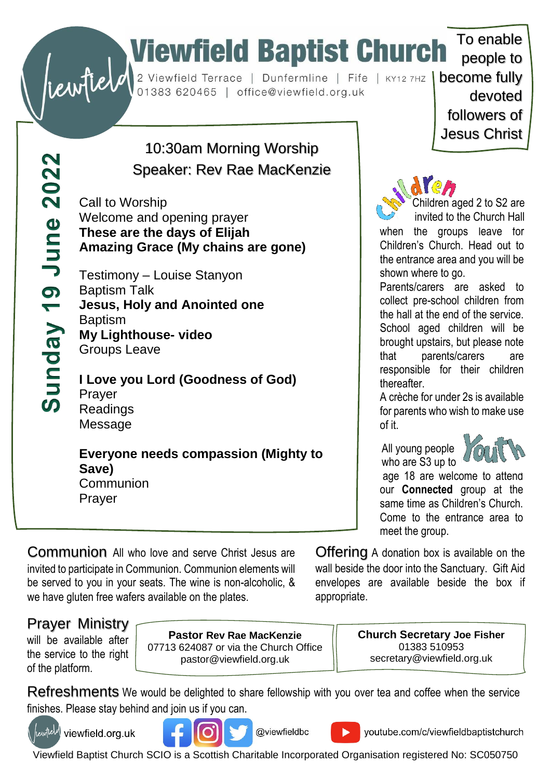# To enable<br>
Substitute of the University of the Law of the University of the University of the University of the University of the University of the University of the University of the University of the University of the Un

Sunday 19 June 2022

## 10:30am Morning Worship Speaker: Rev Rae MacKenzie

Call to Worship Welcome and opening prayer **These are the days of Elijah Amazing Grace (My chains are gone)**

Testimony – Louise Stanyon Baptism Talk **Jesus, Holy and Anointed one Baptism My Lighthouse- video** Groups Leave

**I Love you Lord (Goodness of God)** Prayer Readings Message

## **Everyone needs compassion (Mighty to Save)**

**Communion** Prayer

people to devoted followers of Jesus Christ

To enable



Children aged 2 to S2 are invited to the Church Hall

when the groups leave for Children's Church. Head out to the entrance area and you will be shown where to go.

Parents/carers are asked to collect pre-school children from the hall at the end of the service. School aged children will be brought upstairs, but please note that parents/carers are responsible for their children thereafter.

A crèche for under 2s is available for parents who wish to make use of it.

 All young people who are S3 up to



age 18 are welcome to attend our **Connected** group at the same time as Children's Church. Come to the entrance area to meet the group.

Communion All who love and serve Christ Jesus are invited to participate in Communion. Communion elements will be served to you in your seats. The wine is non-alcoholic, & we have gluten free wafers available on the plates.

Offering A donation box is available on the wall beside the door into the Sanctuary. Gift Aid envelopes are available beside the box if appropriate.

## Prayer Ministry

will be available after the service to the right of the platform.

**Pastor Rev Rae MacKenzie** 07713 624087 or via the Church Office pastor@viewfield.org.uk

**Church Secretary Joe Fisher** 01383 510953 secretary@viewfield.org.uk

Refreshments We would be delighted to share fellowship with you over tea and coffee when the service finishes. Please stay behind and join us if you can.



rewfield viewfield.org.uk



@viewfieldbc

youtube.com/c/viewfieldbaptistchurch

Viewfield Baptist Church SCIO is a Scottish Charitable Incorporated Organisation registered No: SC050750